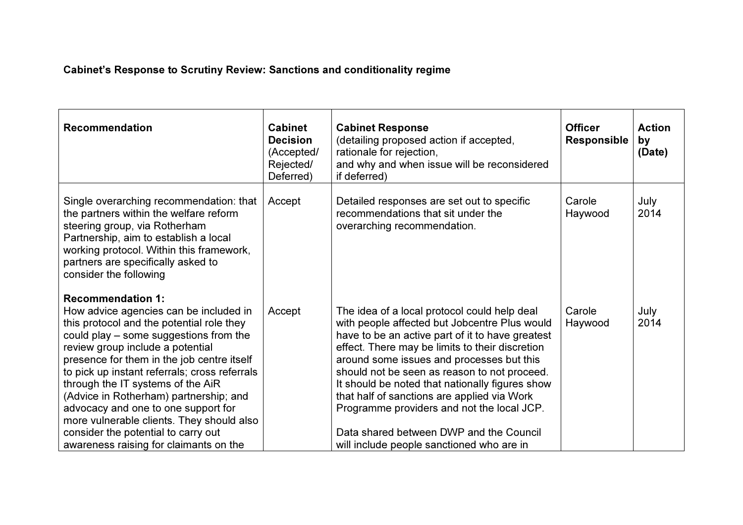## Cabinet's Response to Scrutiny Review: Sanctions and conditionality regime

| <b>Recommendation</b>                                                                                                                                                                                                                                                                                                                                                                                                                                                                                                                            | <b>Cabinet</b><br><b>Decision</b><br>(Accepted/<br>Rejected/<br>Deferred) | <b>Cabinet Response</b><br>(detailing proposed action if accepted,<br>rationale for rejection,<br>and why and when issue will be reconsidered<br>if deferred)                                                                                                                                                                                                                                                                                                                                                                             | <b>Officer</b><br><b>Responsible</b> | <b>Action</b><br>by<br>(Date) |
|--------------------------------------------------------------------------------------------------------------------------------------------------------------------------------------------------------------------------------------------------------------------------------------------------------------------------------------------------------------------------------------------------------------------------------------------------------------------------------------------------------------------------------------------------|---------------------------------------------------------------------------|-------------------------------------------------------------------------------------------------------------------------------------------------------------------------------------------------------------------------------------------------------------------------------------------------------------------------------------------------------------------------------------------------------------------------------------------------------------------------------------------------------------------------------------------|--------------------------------------|-------------------------------|
| Single overarching recommendation: that<br>the partners within the welfare reform<br>steering group, via Rotherham<br>Partnership, aim to establish a local<br>working protocol. Within this framework,<br>partners are specifically asked to<br>consider the following                                                                                                                                                                                                                                                                          | Accept                                                                    | Detailed responses are set out to specific<br>recommendations that sit under the<br>overarching recommendation.                                                                                                                                                                                                                                                                                                                                                                                                                           | Carole<br>Haywood                    | July<br>2014                  |
| <b>Recommendation 1:</b><br>How advice agencies can be included in<br>this protocol and the potential role they<br>could play – some suggestions from the<br>review group include a potential<br>presence for them in the job centre itself<br>to pick up instant referrals; cross referrals<br>through the IT systems of the AiR<br>(Advice in Rotherham) partnership; and<br>advocacy and one to one support for<br>more vulnerable clients. They should also<br>consider the potential to carry out<br>awareness raising for claimants on the | Accept                                                                    | The idea of a local protocol could help deal<br>with people affected but Jobcentre Plus would<br>have to be an active part of it to have greatest<br>effect. There may be limits to their discretion<br>around some issues and processes but this<br>should not be seen as reason to not proceed.<br>It should be noted that nationally figures show<br>that half of sanctions are applied via Work<br>Programme providers and not the local JCP.<br>Data shared between DWP and the Council<br>will include people sanctioned who are in | Carole<br>Haywood                    | July<br>2014                  |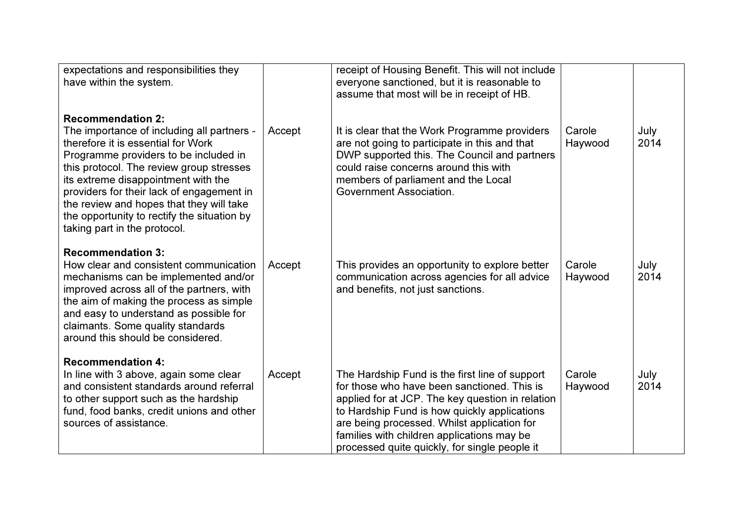| expectations and responsibilities they<br>have within the system.                                                                                                                                                                                                                                                                                                                                                |        | receipt of Housing Benefit. This will not include<br>everyone sanctioned, but it is reasonable to<br>assume that most will be in receipt of HB.                                                                                                                                                                                                 |                   |              |
|------------------------------------------------------------------------------------------------------------------------------------------------------------------------------------------------------------------------------------------------------------------------------------------------------------------------------------------------------------------------------------------------------------------|--------|-------------------------------------------------------------------------------------------------------------------------------------------------------------------------------------------------------------------------------------------------------------------------------------------------------------------------------------------------|-------------------|--------------|
| <b>Recommendation 2:</b><br>The importance of including all partners -<br>therefore it is essential for Work<br>Programme providers to be included in<br>this protocol. The review group stresses<br>its extreme disappointment with the<br>providers for their lack of engagement in<br>the review and hopes that they will take<br>the opportunity to rectify the situation by<br>taking part in the protocol. | Accept | It is clear that the Work Programme providers<br>are not going to participate in this and that<br>DWP supported this. The Council and partners<br>could raise concerns around this with<br>members of parliament and the Local<br>Government Association.                                                                                       | Carole<br>Haywood | July<br>2014 |
| <b>Recommendation 3:</b><br>How clear and consistent communication<br>mechanisms can be implemented and/or<br>improved across all of the partners, with<br>the aim of making the process as simple<br>and easy to understand as possible for<br>claimants. Some quality standards<br>around this should be considered.                                                                                           | Accept | This provides an opportunity to explore better<br>communication across agencies for all advice<br>and benefits, not just sanctions.                                                                                                                                                                                                             | Carole<br>Haywood | July<br>2014 |
| <b>Recommendation 4:</b><br>In line with 3 above, again some clear<br>and consistent standards around referral<br>to other support such as the hardship<br>fund, food banks, credit unions and other<br>sources of assistance.                                                                                                                                                                                   | Accept | The Hardship Fund is the first line of support<br>for those who have been sanctioned. This is<br>applied for at JCP. The key question in relation<br>to Hardship Fund is how quickly applications<br>are being processed. Whilst application for<br>families with children applications may be<br>processed quite quickly, for single people it | Carole<br>Haywood | July<br>2014 |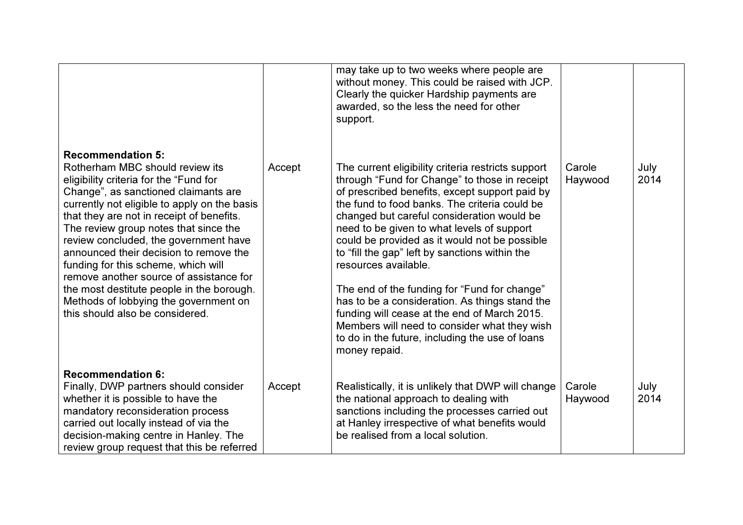|                                                                                                                                                                                                                                                                                                                                                                                                                                                                                                                                                                                   |        | may take up to two weeks where people are<br>without money. This could be raised with JCP.<br>Clearly the quicker Hardship payments are<br>awarded, so the less the need for other<br>support.                                                                                                                                                                                                                                                                                                                                                                                                                                                                                                      |                   |              |
|-----------------------------------------------------------------------------------------------------------------------------------------------------------------------------------------------------------------------------------------------------------------------------------------------------------------------------------------------------------------------------------------------------------------------------------------------------------------------------------------------------------------------------------------------------------------------------------|--------|-----------------------------------------------------------------------------------------------------------------------------------------------------------------------------------------------------------------------------------------------------------------------------------------------------------------------------------------------------------------------------------------------------------------------------------------------------------------------------------------------------------------------------------------------------------------------------------------------------------------------------------------------------------------------------------------------------|-------------------|--------------|
| <b>Recommendation 5:</b><br>Rotherham MBC should review its<br>eligibility criteria for the "Fund for<br>Change", as sanctioned claimants are<br>currently not eligible to apply on the basis<br>that they are not in receipt of benefits.<br>The review group notes that since the<br>review concluded, the government have<br>announced their decision to remove the<br>funding for this scheme, which will<br>remove another source of assistance for<br>the most destitute people in the borough.<br>Methods of lobbying the government on<br>this should also be considered. | Accept | The current eligibility criteria restricts support<br>through "Fund for Change" to those in receipt<br>of prescribed benefits, except support paid by<br>the fund to food banks. The criteria could be<br>changed but careful consideration would be<br>need to be given to what levels of support<br>could be provided as it would not be possible<br>to "fill the gap" left by sanctions within the<br>resources available.<br>The end of the funding for "Fund for change"<br>has to be a consideration. As things stand the<br>funding will cease at the end of March 2015.<br>Members will need to consider what they wish<br>to do in the future, including the use of loans<br>money repaid. | Carole<br>Haywood | July<br>2014 |
| <b>Recommendation 6:</b>                                                                                                                                                                                                                                                                                                                                                                                                                                                                                                                                                          |        |                                                                                                                                                                                                                                                                                                                                                                                                                                                                                                                                                                                                                                                                                                     |                   |              |
| Finally, DWP partners should consider<br>whether it is possible to have the<br>mandatory reconsideration process<br>carried out locally instead of via the<br>decision-making centre in Hanley. The<br>review group request that this be referred                                                                                                                                                                                                                                                                                                                                 | Accept | Realistically, it is unlikely that DWP will change<br>the national approach to dealing with<br>sanctions including the processes carried out<br>at Hanley irrespective of what benefits would<br>be realised from a local solution.                                                                                                                                                                                                                                                                                                                                                                                                                                                                 | Carole<br>Haywood | July<br>2014 |